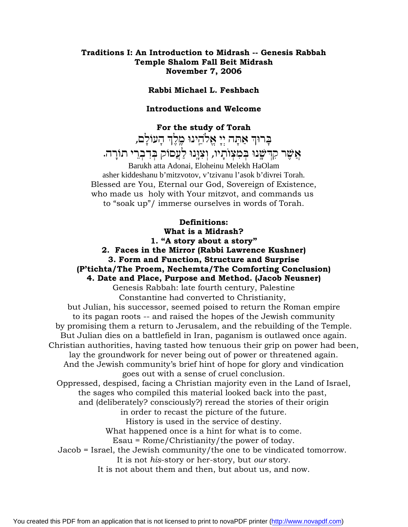#### **Traditions I: An Introduction to Midrash -- Genesis Rabbah Temple Shalom Fall Beit Midrash November 7, 2006**

#### **Rabbi Michael L. Feshbach**

#### **Introductions and Welcome**

**For the study of Torah** בּרוּה אַתָּה יִי אֵלֹהֵינוּ מֵלֵה הָעוֹלָם, אֵשֵׁר קִדִּשֵּׂנוּ בִּמְצְוֹתָיו, וְצְוֵנוּ לַעֲםוֹק בִּדְבְרֵי תוֹרָה. Barukh atta Adonai, Eloheinu Melekh HaOlam asher kiddeshanu b'mitzvotov, v'tzivanu l'asok b'divrei Torah. Blessed are You, Eternal our God, Sovereign of Existence, who made us holy with Your mitzvot, and commands us to "soak up"/ immerse ourselves in words of Torah.

### **Definitions: What is a Midrash? 1. "A story about a story"**

**2. Faces in the Mirror (Rabbi Lawrence Kushner)**

### **3. Form and Function, Structure and Surprise**

### **(P'tichta/The Proem, Nechemta/The Comforting Conclusion)**

**4. Date and Place, Purpose and Method. (Jacob Neusner)** Genesis Rabbah: late fourth century, Palestine Constantine had converted to Christianity,

but Julian, his successor, seemed poised to return the Roman empire to its pagan roots -- and raised the hopes of the Jewish community by promising them a return to Jerusalem, and the rebuilding of the Temple. But Julian dies on a battlefield in Iran, paganism is outlawed once again. Christian authorities, having tasted how tenuous their grip on power had been, lay the groundwork for never being out of power or threatened again. And the Jewish community's brief hint of hope for glory and vindication goes out with a sense of cruel conclusion. Oppressed, despised, facing a Christian majority even in the Land of Israel, the sages who compiled this material looked back into the past,

and (deliberately? consciously?) reread the stories of their origin in order to recast the picture of the future.

History is used in the service of destiny.

What happened once is a hint for what is to come.

Esau = Rome/Christianity/the power of today.

Jacob = Israel, the Jewish community/the one to be vindicated tomorrow.

It is not *his*-story or her-story, but *our* story.

It is not about them and then, but about us, and now.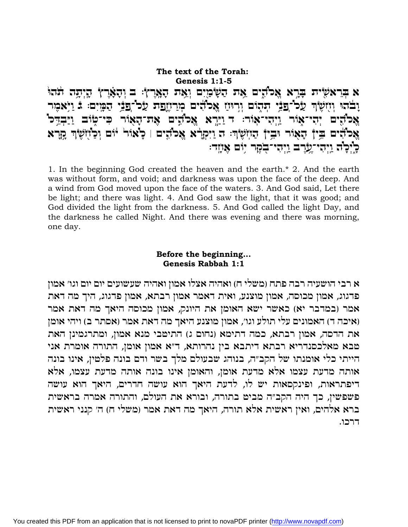The text of the Torah: Genesis 1:1-5 א בִּרְאֹשָׂית בָרֵא אֱכ'הֵים אֶת הַשָּׂמַיִם וְאֶת הָאֲרָץ: ב וְהָאָרֶץ הָיְתָה תֹּהוּ וָבֹהוּ וְזִזְשָׂןְדְּ עַל־פַּבֵּי הִהְוֹם וְרְוּזַז אֲכֹוֹדִים מְרַזְזֶפָת עַל־פַּבֵּי הַמָּיִם: בּ וַיְּאמִר אַכ'הִים יְהִי־אָוֹר וַיִּהִי־אִוֹר: ד וַיַּרָא אֵכ'הֵים אָת־הַאָוֹר כִּי־טְוֹב וַיַּבְדֵּכ' אַכ'הים בֵין הָאוֹר יִבֵין הַוְזִשְׂרָ: הַ וַיִּקְרָא אֵכ'הִים | כָאוֹר יוֹם וְכַוֹזְשָׂךְ קָרָא כְיָּכָה וַיִּהִי־עֲרֶב וַיִּהִי־בְקָר יִוֹם אֲעָד:

1. In the beginning God created the heaven and the earth.\* 2. And the earth was without form, and void; and darkness was upon the face of the deep. And a wind from God moved upon the face of the waters. 3. And God said, Let there be light; and there was light. 4. And God saw the light, that it was good; and God divided the light from the darkness. 5. And God called the light Day, and the darkness he called Night. And there was evening and there was morning, one day.

### Before the beginning... Genesis Rabbah 1:1

א רבי הושעיה רבה פתח (משלי ח) ואהיה אצלו אמון ואהיה שעשועים יום יום וגו׳ אמון פדגוג, אמון מכוסה, אמון מוצנע, ואית דאמר אמון רבתא, אמון פדגוג, היך מה דאת אמר (במדבר יא) כאשר ישא האומן את היונק, אמון מכוסה היאך מה דאת אמר (איכה ד) האמונים עלי תולע וגו׳, אמון מוצנע היאך מה דאת אמר (אסתר ב) ויהי אומן את הדסה, אמון רבתא, כמה דתימא (נחום ג) התיטבי מנא אמון, ומתרגמינן האת טבא מאלכסנדריא רבתא דיתבא בין נהרותא, ד״א אמון אומן, התורה אומרת אני הייתי כלי אומנתו של הקב״ה, בנוהג שבעולם מלך בשר ודם בונה פלטין, אינו בונה אותה מדעת עצמו אלא מדעת אומן, והאומן אינו בונה אותה מדעת עצמו, אלא דיפתראות, ופינקסאות יש לו, לדעת היאך הוא עושה חדרים, היאך הוא עושה פשפשין, כך היה הקב״ה מביט בתורה, ובורא את העולם, והתורה אמרה בראשית ברא אלהים, ואין ראשית אלא תורה, היאך מה דאת אמר (משלי ח) ה׳ קנני ראשית דרכו.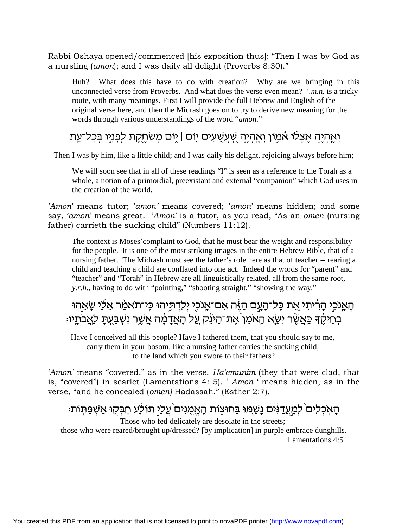Rabbi Oshaya opened/commenced [his exposition thus]: "Then I was by God as a nursling (*amon*); and I was daily all delight (Proverbs 8:30)."

Huh? What does this have to do with creation? Why are we bringing in this unconnected verse from Proverbs. And what does the verse even mean? *'.m.n.* is a tricky route, with many meanings. First I will provide the full Hebrew and English of the original verse here, and then the Midrash goes on to try to derive new meaning for the words through various understandings of the word "*amon.*"

### ֿנָאֱהָיֵה אֱצִלֹו אֲמְוֹן נַאֲהִיֵה שֻׁעֲשֶׁעִים יָוֹם | יְוֹם מְשַׂחֲקֵת לְפָנֶיו בִּכָל־עֵתּ

Then I was by him, like a little child; and I was daily his delight, rejoicing always before him;

We will soon see that in all of these readings "I" is seen as a reference to the Torah as a whole, a notion of a primordial, preexistant and external "companion" which God uses in the creation of the world.

'*Amon*' means tutor; '*amon'* means covered; '*amon*' means hidden; and some say, '*amon*' means great. '*Amon*' is a tutor, as you read, "As an *omen* (nursing father) carrieth the sucking child" (Numbers 11:12).

The context is Moses'complaint to God, that he must bear the weight and responsibility for the people. It is one of the most striking images in the entire Hebrew Bible, that of a nursing father. The Midrash must see the father's role here as that of teacher -- rearing a child and teaching a child are conflated into one act. Indeed the words for "parent" and "teacher" and "Torah" in Hebrew are all linguistically related, all from the same root, *y.r.h.*, having to do with "pointing," "shooting straight," "showing the way."

הַאֲנֹכֶי הָרִיתי אֵת כַּל־הָעֲם הַיֶּה אִם־אֲנֹכְי יִלדְתִּיהוּ כֵּי־תֹאמַ׳ר אֲלַי שָׂאֲהוּ ּבְחֵיקֵדּ כֵּאֲשֶׁר יִשֶּׂא הַאֹמֵן ׁאֵת־הַיּנֵק עַל הָאֲדָמֶה אֲשֶׁר נִשְׁבַּעֲתַּ לַאֲבֹתֵיוּ

Have I conceived all this people? Have I fathered them, that you should say to me, carry them in your bosom, like a nursing father carries the sucking child, to the land which you swore to their fathers?

'*Amon'* means "covered," as in the verse, *Ha'emunim* (they that were clad, that is, "covered") in scarlet (Lamentations 4: 5). ' *Amon* ' means hidden, as in the verse, "and he concealed (*omen)* Hadassah." (Esther 2:7).

# ֿהַאָכִלים ׁלמֶעֲדַנִּים נָשַׁמוּ בַּחוּצָוֹת הָאֵמְנִים עַלֵי תוּלָע חִבִּקוּ אַשִׁפַּתְּוֹת

Those who fed delicately are desolate in the streets;

those who were reared/brought up/dressed? [by implication] in purple embrace dunghills. Lamentations 4:5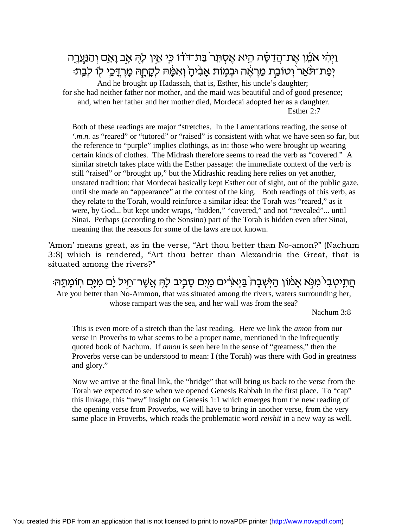ֿוַיְהִי אֹמֵׁן אֶת־הֲדַסָּה הָיא אֶסְתֵּר בַּת־דֹּדֹו כֵּי אֵין לָהָ אָב וָאֵם וְהַנַּעֲרָה יִפָּת־וּנֹאַר וְטוֹבֶת מַרְאֶה וּבְמָוֹת אֲבִיהַ וְאִמַּוּה לְקָחַה מַרְדַּכֵי לוֹ לְבֵת:

And he brought up Hadassah, that is, Esther, his uncle's daughter; for she had neither father nor mother, and the maid was beautiful and of good presence; and, when her father and her mother died, Mordecai adopted her as a daughter. Esther 2:7

Both of these readings are major "stretches. In the Lamentations reading, the sense of *'.m.n.* as "reared" or "tutored" or "raised" is consistent with what we have seen so far, but the reference to "purple" implies clothings, as in: those who were brought up wearing certain kinds of clothes. The Midrash therefore seems to read the verb as "covered." A similar stretch takes place with the Esther passage: the immediate context of the verb is still "raised" or "brought up," but the Midrashic reading here relies on yet another, unstated tradition: that Mordecai basically kept Esther out of sight, out of the public gaze, until she made an "appearance" at the contest of the king. Both readings of this verb, as they relate to the Torah, would reinforce a similar idea: the Torah was "reared," as it were, by God... but kept under wraps, "hidden," "covered," and not "revealed"... until Sinai. Perhaps (according to the Sonsino) part of the Torah is hidden even after Sinai, meaning that the reasons for some of the laws are not known.

'Amon' means great, as in the verse, "Art thou better than No-amon?" (Nachum 3:8) which is rendered, "Art thou better than Alexandria the Great, that is situated among the rivers?"

הַתֵּיטִבִי מִנְּא אָמֹוֹן הַיְּשְׁבָה בַּיְאֹרִים מַיֵּם סָבְיב לָהֶ אֲשֶׁר־תֵיל יָם מִיָּם חְוֹמָתֶהּ

Are you better than No-Ammon, that was situated among the rivers, waters surrounding her, whose rampart was the sea, and her wall was from the sea?

Nachum 3:8

This is even more of a stretch than the last reading. Here we link the *amon* from our verse in Proverbs to what seems to be a proper name, mentioned in the infrequently quoted book of Nachum. If *amon* is seen here in the sense of "greatness," then the Proverbs verse can be understood to mean: I (the Torah) was there with God in greatness and glory."

Now we arrive at the final link, the "bridge" that will bring us back to the verse from the Torah we expected to see when we opened Genesis Rabbah in the first place. To "cap" this linkage, this "new" insight on Genesis 1:1 which emerges from the new reading of the opening verse from Proverbs, we will have to bring in another verse, from the very same place in Proverbs, which reads the problematic word *reishit* in a new way as well.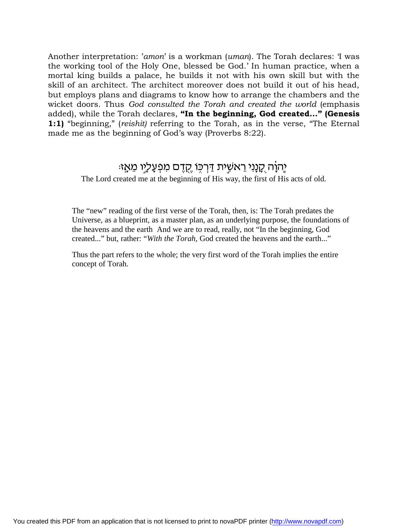Another interpretation: '*amon*' is a workman (*uman*). The Torah declares: 'I was the working tool of the Holy One, blessed be God.' In human practice, when a mortal king builds a palace, he builds it not with his own skill but with the skill of an architect. The architect moreover does not build it out of his head, but employs plans and diagrams to know how to arrange the chambers and the wicket doors. Thus *God consulted the Torah and created the world* (emphasis added), while the Torah declares, **"In the beginning, God created..." (Genesis 1:1)** "beginning," (*reishit)* referring to the Torah, as in the verse, "The Eternal made me as the beginning of God's way (Proverbs 8:22).

# יֶהוָה <u>קֶנָנִי רֵאשֶׁ</u>ית דַּרְכְּוֹ <u>קָדֵ</u>ם מְפִעַלְיו מֵאֵזּ

The Lord created me at the beginning of His way, the first of His acts of old.

The "new" reading of the first verse of the Torah, then, is: The Torah predates the Universe, as a blueprint, as a master plan, as an underlying purpose, the foundations of the heavens and the earth And we are to read, really, not "In the beginning, God created..." but, rather: "*With the Torah,* God created the heavens and the earth..."

Thus the part refers to the whole; the very first word of the Torah implies the entire concept of Torah.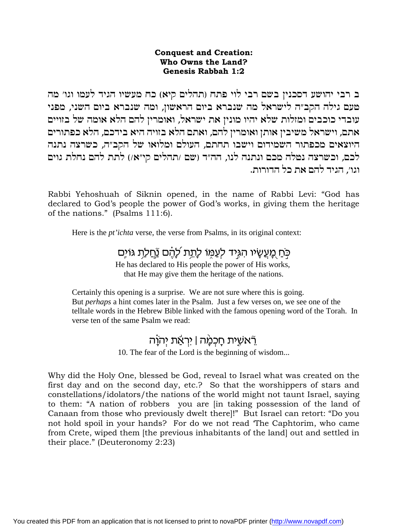### **Conquest and Creation:** Who Owns the Land? Genesis Rabbah 1:2

ב רבי יהושע דסכנין בשם רבי לוי פתח (תהלים קיא) כח מעשיו הגיד לעמו וגו׳ מה טעם גילה הקב״ה לישראל מה שנברא ביום הראשון, ומה שנברא ביום השני, מפני עובדי כוכבים ומזלות שלא יהיו מונין את ישראל, ואומרין להם הלא אומה של בזויים אתם, וישראל משיבין אותן ואומרין להם, ואתם הלא בזויה היא בידכם, הלא כפתורים היוצאים מכפתור השמידום וישבו תחתם, העולם ומלואו של הקב״ה, כשרצה נתנה לכם, וכשרצה נטלה מכם ונתנה לנו, הה״ד (שם /תהלים קי״א/) לתת להם נחלת גוים וגו׳. הגיד להם את כל הדורות.

Rabbi Yehoshuah of Siknin opened, in the name of Rabbi Levi: "God has declared to God's people the power of God's works, in giving them the heritage of the nations." (Psalms 111:6).

Here is the *pt'ichta* verse, the verse from Psalms, in its original context:

### כֹּחַ מַעֲשֵׂיו הִגְיד לִעֲמוֹ לַתְת לַהֵם נַּחֲלַת גּוֹיִם

He has declared to His people the power of His works, that He may give them the heritage of the nations.

Certainly this opening is a surprise. We are not sure where this is going. But *perhaps* a hint comes later in the Psalm. Just a few verses on, we see one of the telltale words in the Hebrew Bible linked with the famous opening word of the Torah. In verse ten of the same Psalm we read:

### ְרָֿאֲשֶׁית חַכְמַּה | יִרְאֲת יְהֹוֵה

10. The fear of the Lord is the beginning of wisdom...

Why did the Holy One, blessed be God, reveal to Israel what was created on the first day and on the second day, etc.? So that the worshippers of stars and constellations/idolators/the nations of the world might not taunt Israel, saying to them: "A nation of robbers you are [in taking possession of the land of Canaan from those who previously dwelt there!!" But Israel can retort: "Do you not hold spoil in your hands? For do we not read 'The Caphtorim, who came from Crete, wiped them [the previous inhabitants of the land] out and settled in their place." (Deuteronomy 2:23)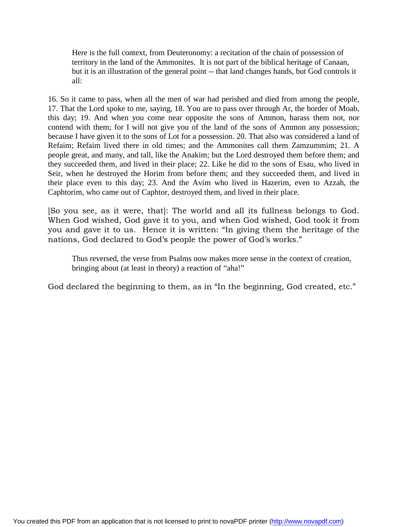Here is the full context, from Deuteronomy: a recitation of the chain of possession of territory in the land of the Ammonites. It is not part of the biblical heritage of Canaan, but it is an illustration of the general point -- that land changes hands, but God controls it all:

16. So it came to pass, when all the men of war had perished and died from among the people, 17. That the Lord spoke to me, saying, 18. You are to pass over through Ar, the border of Moab, this day; 19. And when you come near opposite the sons of Ammon, harass them not, nor contend with them; for I will not give you of the land of the sons of Ammon any possession; because I have given it to the sons of Lot for a possession. 20. That also was considered a land of Refaim; Refaim lived there in old times; and the Ammonites call them Zamzummim; 21. A people great, and many, and tall, like the Anakim; but the Lord destroyed them before them; and they succeeded them, and lived in their place; 22. Like he did to the sons of Esau, who lived in Seir, when he destroyed the Horim from before them; and they succeeded them, and lived in their place even to this day; 23. And the Avim who lived in Hazerim, even to Azzah, the Caphtorim, who came out of Caphtor, destroyed them, and lived in their place.

[So you see, as it were, that]: The world and all its fullness belongs to God. When God wished, God gave it to you, and when God wished, God took it from you and gave it to us. Hence it is written: "In giving them the heritage of the nations, God declared to God's people the power of God's works."

Thus reversed, the verse from Psalms now makes more sense in the context of creation, bringing about (at least in theory) a reaction of "aha!"

God declared the beginning to them, as in "In the beginning, God created, etc."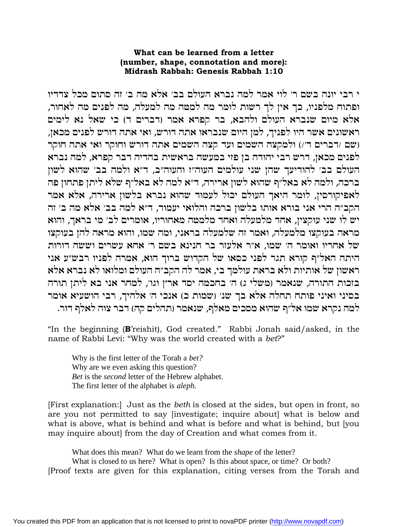### What can be learned from a letter (number, shape, connotation and more): Midrash Rabbah: Genesis Rabbah 1:10

י רבי יונה בשם ר׳ לוי אמר למה נברא העולם בב׳ אלא מה ב׳ זה סתום מכל צדדיו ופתוח מלפניו, כך אין לך רשות לומר מה למטה מה למעלה, מה לפנים מה לאחור, אלא מיום שנברא העולם ולהבא, בר קפרא אמר (דברים ד) כי שאל נא לימים ראשונים אשר היו לפניך, למן היום שנבראו אתה דורש, ואי אתה דורש לפנים מכאן, (שם /דברים ד׳/) ולמקצה השמים ועד קצה השמים אתה דורש וחוקר ואי אתה חוקר לפנים מכאן, דרש רבי יהודה בן פזי במעשה בראשית בהדיה דבר קפרא, למה נברא העולם בב׳ להודיעך שהן שני עולמים העוה״ז והעוה״ב, ד״א ולמה בב׳ שהוא לשון ברכה, ולמה לא באל״ף שהוא לשון ארירה, ד״א למה לא באל״ף שלא ליתן פתחון פה לאפיקורסין, לומר היאך העולם יכול לעמוד שהוא נברא בלשון ארירה, אלא אמר הקב״ה הרי אני בורא אותו בלשון ברכה והלואי יעמוד, ד״א למה בב׳ אלא מה ב׳ זה יש לו שני עוקצין, אחד מלמעלה ואחד מלמטה מאחוריו, אומרים לב׳ מי בראך, והוא מראה בעוקצו מלמעלה, ואמר זה שלמעלה בראני, ומה שמו, והוא מראה להן בעוקצו של אחריו ואומר ה׳ שמו, א״ר אלעזר בר חנינא בשם ר׳ אחא עשרים וששה דורות היתה האל״ף קורא תגר לפני כסאו של הקדוש ברוך הוא, אמרה לפניו רבש״ע אני ראשון של אותיות ולא בראת עולמך בי, אמר לה הקב״ה העולם ומלואו לא נברא אלא בזכות התורה, שנאמר (משלי ג) ה׳ בחכמה יסד ארץ וגו׳, למחר אני בא ליתן תורה בסיני ואיני פותח תחלה אלא בך שנ׳ (שמות כ) אנכי ה׳ אלהיך, רבי הושעיא אומר למה נקרא שמו אל״ף שהוא מסכים מאלף, שנאמר (תהלים קה) דבר צוה לאלף דור.

"In the beginning (B'reishit), God created." Rabbi Jonah said/asked, in the name of Rabbi Levi: "Why was the world created with a bet?"

Why is the first letter of the Torah a bet? Why are we even asking this question? Bet is the *second* letter of the Hebrew alphabet. The first letter of the alphabet is *aleph*.

[First explanation:] Just as the *beth* is closed at the sides, but open in front, so are you not permitted to say [investigate; inquire about] what is below and what is above, what is behind and what is before and what is behind, but [you may inquire about] from the day of Creation and what comes from it.

What does this mean? What do we learn from the *shape* of the letter?

What is closed to us here? What is open? Is this about space, or time? Or both? [Proof texts are given for this explanation, citing verses from the Torah and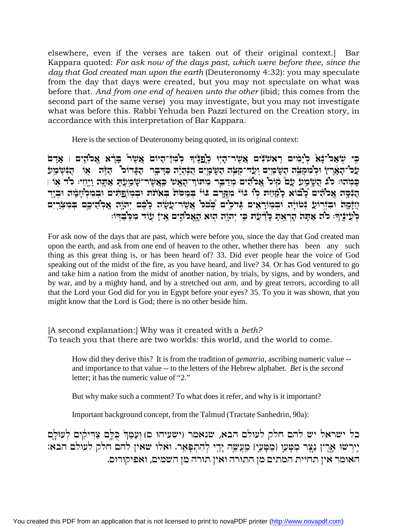elsewhere, even if the verses are taken out of their original context.] Bar Kappara quoted: *For ask now of the days past, which were before thee, since the day that God created man upon the earth* (Deuteronomy 4:32): you may speculate from the day that days were created, but you may not speculate on what was before that. *And from one end of heaven unto the other* (ibid; this comes from the second part of the same verse) you may investigate, but you may not investigate what was before this. Rabbi Yehuda ben Pazzi lectured on the Creation story, in accordance with this interpretation of Bar Kappara.

Here is the section of Deuteronomy being quoted, in its original context:

בי שׂאכ<sup>י</sup>־נֿאַ כימׂים ראשׂנֿים אשׂר־היוּ כ<sup>ו</sup>פנוֹיִד כ'מ†־היוֹם אשׂר ברֹא אכוֿהים | אדם  $\mathcal{L}$ לל־הָאָרץ וּלְמִקְצֵה הַשָּׂמַיִם וְעַד־קְצֵה הַשָּׂמָיִם הֲנִהְיָה כַדְבֶר הַבָּדוּכ" הַדֶּה אַוֹּ הֲנִשְׂמַע  $\mathbb F$ ַ כְּמֹהוּ: כֹּלֹ הַשֵׂמַעֹ עַם קֹוֹכֹ אֲכֹהים מִדַבֵּר מִתּוֹך־הָאָשׂ כִּאֲשֶׂר־שָׂמַעָתָ אַתָּה וַיֶּזִיः כֹד אָו בְּבָּפֶה אֱכֹהֹים כָׁבוֹא כָלַּזְיַזִת כְּוֹ בּוֹי ּמִקָּרֶב בּוֹיْ בְמַסֹת בְאֹתֹת וּבִמְוֹפַתִּים וּבִמְלְזֶוּמָה וּבִיֶד  $\ddot{r}$ יָזַזָּקָה וּבְזְרוֹעֵ דְּמוֹיָה וּבְמוֹרָאֵים דְּרֹלֵים בְּכֹּל אֲשֶׂר־עָשָׂה כָבֶם יִהוֵֹה אֲכְהֵיכֵם בִּמִצְרֵים כְּעַיֹּנֵיךָ: כוֹד אֲתַה הָרָאֶת כְּיַדְיֹנִי כִּי יְהוֹה הִוּא הָאֲכוֹדִים אֵי† עוֹד מִכְּבְדִי:

For ask now of the days that are past, which were before you, since the day that God created man upon the earth, and ask from one end of heaven to the other, whether there has been any such thing as this great thing is, or has been heard of? 33. Did ever people hear the voice of God speaking out of the midst of the fire, as you have heard, and live? 34. Or has God ventured to go and take him a nation from the midst of another nation, by trials, by signs, and by wonders, and by war, and by a mighty hand, and by a stretched out arm, and by great terrors, according to all that the Lord your God did for you in Egypt before your eyes? 35. To you it was shown, that you might know that the Lord is God; there is no other beside him.

[A second explanation:] Why was it created with a *beth?*  To teach you that there are two worlds: this world, and the world to come.

How did they derive this? It is from the tradition of *gematria,* ascribing numeric value - and importance to that value -- to the letters of the Hebrew alphabet. *Bet* is the *second*  letter; it has the numeric value of "2."

But why make such a comment? To what does it refer, and why is it important?

Important background concept, from the Talmud (Tractate Sanhedrin, 90a):

כל ישראל יש להם חלק לעולם הבא, שנאמר (ישעיהו ם) וַעַמֵּה ִבְּלֶם צַדִּיקִים לְעוֹלֶם :ירשו ארץ נצר מטעו [מטעי] מעשה ידי להתפאר. ואלו שאין להם חלק לעולם הבא האומר אין תחיית המתים מן התורה ואין תורה מן השמים, ואפיקורום.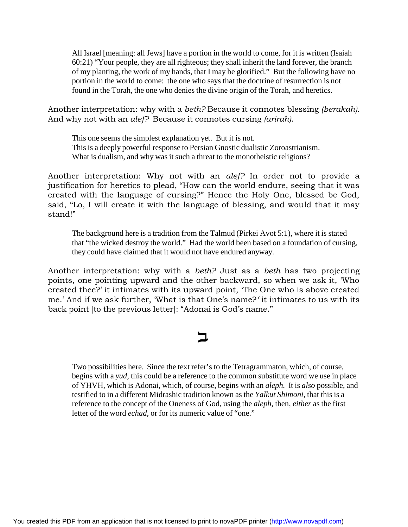All Israel [meaning: all Jews] have a portion in the world to come, for it is written (Isaiah 60:21) "Your people, they are all righteous; they shall inherit the land forever, the branch of my planting, the work of my hands, that I may be glorified." But the following have no portion in the world to come: the one who says that the doctrine of resurrection is not found in the Torah, the one who denies the divine origin of the Torah, and heretics.

Another interpretation: why with a *beth?* Because it connotes blessing *(berakah).* And why not with an *alef?* Because it connotes cursing *(arirah)*.

This one seems the simplest explanation yet. But it is not. This is a deeply powerful response to Persian Gnostic dualistic Zoroastrianism. What is dualism, and why was it such a threat to the monotheistic religions?

Another interpretation: Why not with an *alef?* In order not to provide a justification for heretics to plead, "How can the world endure, seeing that it was created with the language of cursing?" Hence the Holy One, blessed be God, said, "Lo, I will create it with the language of blessing, and would that it may stand!"

The background here is a tradition from the Talmud (Pirkei Avot 5:1), where it is stated that "the wicked destroy the world." Had the world been based on a foundation of cursing, they could have claimed that it would not have endured anyway.

Another interpretation: why with a *beth?* Just as a *beth* has two projecting points, one pointing upward and the other backward, so when we ask it, 'Who created thee?' it intimates with its upward point, 'The One who is above created me.' And if we ask further, 'What is that One's name?*'* it intimates to us with its back point [to the previous letter]: "Adonai is God's name."

# $\mathsf{\Xi}$

Two possibilities here. Since the text refer's to the Tetragrammaton, which, of course, begins with a *yud,* this could be a reference to the common substitute word we use in place of YHVH, which is Adonai, which, of course, begins with an *aleph.* It is *also* possible, and testified to in a different Midrashic tradition known as the *Yalkut Shimoni,* that this is a reference to the concept of the Oneness of God, using the *aleph,* then, *either* as the first letter of the word *echad,* or for its numeric value of "one."